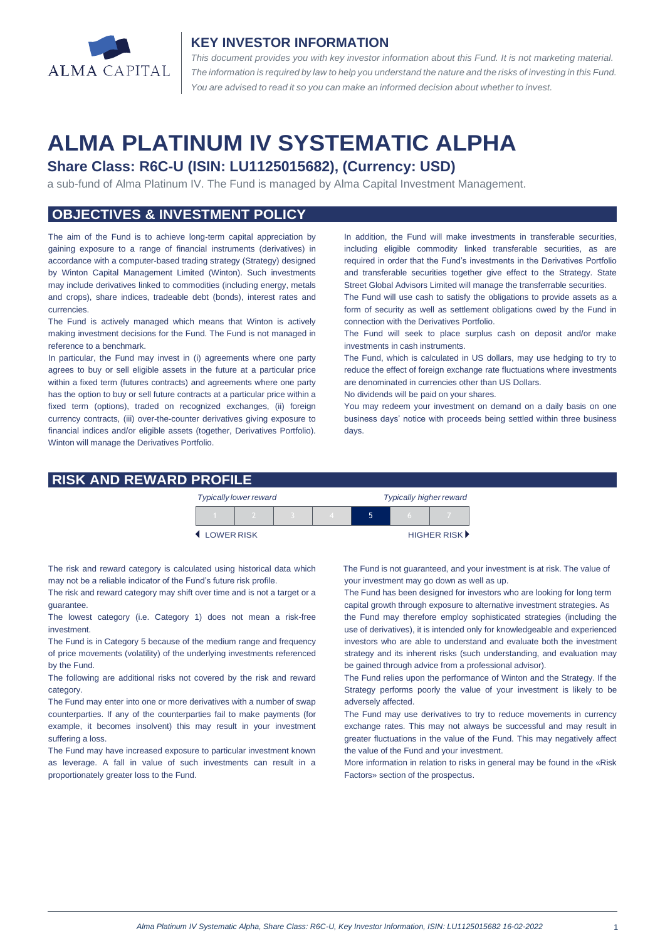

#### **KEY INVESTOR INFORMATION**

*This document provides you with key investor information about this Fund. It is not marketing material.*  The information is required by law to help you understand the nature and the risks of investing in this Fund. *You are advised to read it so you can make an informed decision about whether to invest.*

# **ALMA PLATINUM IV SYSTEMATIC ALPHA**

# **Share Class: R6C-U (ISIN: LU1125015682), (Currency: USD)**

a sub-fund of Alma Platinum IV. The Fund is managed by Alma Capital Investment Management.

# **OBJECTIVES & INVESTMENT POLICY**

The aim of the Fund is to achieve long-term capital appreciation by gaining exposure to a range of financial instruments (derivatives) in accordance with a computer-based trading strategy (Strategy) designed by Winton Capital Management Limited (Winton). Such investments may include derivatives linked to commodities (including energy, metals and crops), share indices, tradeable debt (bonds), interest rates and currencies.

The Fund is actively managed which means that Winton is actively making investment decisions for the Fund. The Fund is not managed in reference to a benchmark.

In particular, the Fund may invest in (i) agreements where one party agrees to buy or sell eligible assets in the future at a particular price within a fixed term (futures contracts) and agreements where one party has the option to buy or sell future contracts at a particular price within a fixed term (options), traded on recognized exchanges, (ii) foreign currency contracts, (iii) over-the-counter derivatives giving exposure to financial indices and/or eligible assets (together, Derivatives Portfolio). Winton will manage the Derivatives Portfolio.

In addition, the Fund will make investments in transferable securities, including eligible commodity linked transferable securities, as are required in order that the Fund's investments in the Derivatives Portfolio and transferable securities together give effect to the Strategy. State Street Global Advisors Limited will manage the transferrable securities.

The Fund will use cash to satisfy the obligations to provide assets as a form of security as well as settlement obligations owed by the Fund in connection with the Derivatives Portfolio.

The Fund will seek to place surplus cash on deposit and/or make investments in cash instruments.

The Fund, which is calculated in US dollars, may use hedging to try to reduce the effect of foreign exchange rate fluctuations where investments are denominated in currencies other than US Dollars.

No dividends will be paid on your shares.

You may redeem your investment on demand on a daily basis on one business days' notice with proceeds being settled within three business days.

#### **RISK AND REWARD PROFILE**

|            | <b>Typically lower reward</b> |  | <b>Typically higher reward</b> |  |  |             |
|------------|-------------------------------|--|--------------------------------|--|--|-------------|
|            |                               |  |                                |  |  |             |
| LOWER RISK |                               |  |                                |  |  | HIGHER RISK |

The risk and reward category is calculated using historical data which may not be a reliable indicator of the Fund's future risk profile.

The risk and reward category may shift over time and is not a target or a guarantee.

The lowest category (i.e. Category 1) does not mean a risk-free investment.

The Fund is in Category 5 because of the medium range and frequency of price movements (volatility) of the underlying investments referenced by the Fund.

The following are additional risks not covered by the risk and reward category.

The Fund may enter into one or more derivatives with a number of swap counterparties. If any of the counterparties fail to make payments (for example, it becomes insolvent) this may result in your investment suffering a loss.

The Fund may have increased exposure to particular investment known as leverage. A fall in value of such investments can result in a proportionately greater loss to the Fund.

The Fund is not guaranteed, and your investment is at risk. The value of your investment may go down as well as up.

The Fund has been designed for investors who are looking for long term capital growth through exposure to alternative investment strategies. As the Fund may therefore employ sophisticated strategies (including the use of derivatives), it is intended only for knowledgeable and experienced investors who are able to understand and evaluate both the investment strategy and its inherent risks (such understanding, and evaluation may be gained through advice from a professional advisor).

The Fund relies upon the performance of Winton and the Strategy. If the Strategy performs poorly the value of your investment is likely to be adversely affected.

The Fund may use derivatives to try to reduce movements in currency exchange rates. This may not always be successful and may result in greater fluctuations in the value of the Fund. This may negatively affect the value of the Fund and your investment.

More information in relation to risks in general may be found in the «Risk Factors» section of the prospectus.